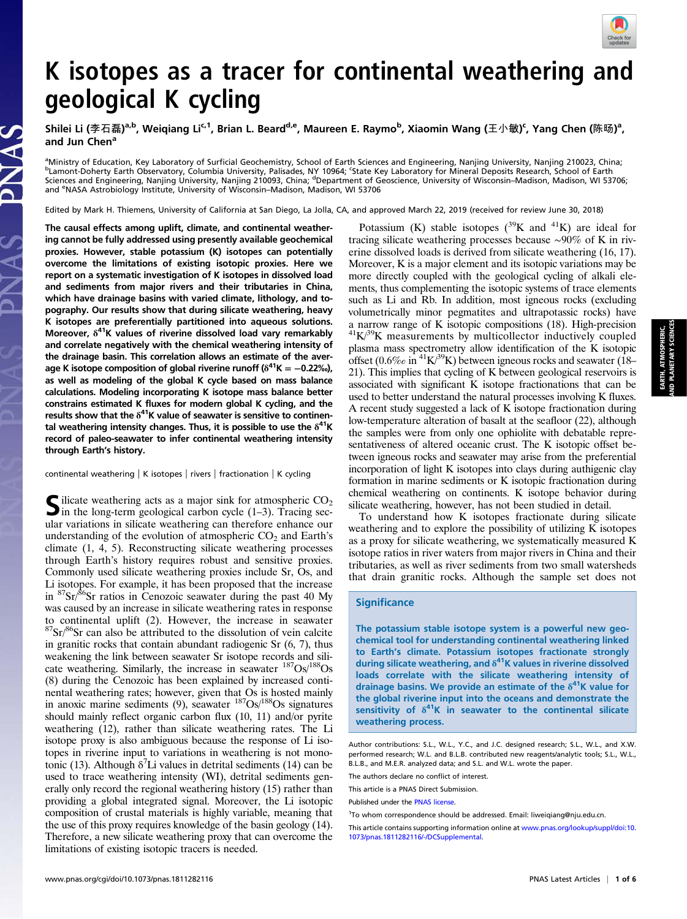

## K isotopes as a tracer for continental weathering and geological K cycling

Shilei Li (李石磊)<sup>a,b</sup>, Weiqiang Li<sup>c,1</sup>, Brian L. Beard<sup>d,e</sup>, Maureen E. Raymo<sup>b</sup>, Xiaomin Wang (王小敏)ˁ, Yang Chen (陈旸)ª, and Jun Chen<sup>a</sup>

<sup>a</sup>Ministry of Education, Key Laboratory of Surficial Geochemistry, School of Earth Sciences and Engineering, Nanjing University, Nanjing 210023, China;<br><sup>b</sup>Lamont Deberty Farth Observatory, Columbia University, Palisades, Lamont-Doherty Earth Observatory, Columbia University, Palisades, NY 10964; 'State Key Laboratory for Mineral Deposits Research, School of Earth Sciences and Engineering, Nanjing University, Nanjing 210093, China; <sup>d</sup>Department of Geoscience, University of Wisconsin–Madison, Madison, WI 53706; and <sup>e</sup> NASA Astrobiology Institute, University of Wisconsin–Madison, Madison, WI 53706

Edited by Mark H. Thiemens, University of California at San Diego, La Jolla, CA, and approved March 22, 2019 (received for review June 30, 2018)

The causal effects among uplift, climate, and continental weathering cannot be fully addressed using presently available geochemical proxies. However, stable potassium (K) isotopes can potentially overcome the limitations of existing isotopic proxies. Here we report on a systematic investigation of K isotopes in dissolved load and sediments from major rivers and their tributaries in China, which have drainage basins with varied climate, lithology, and topography. Our results show that during silicate weathering, heavy K isotopes are preferentially partitioned into aqueous solutions. Moreover,  $\delta^{41}$ K values of riverine dissolved load vary remarkably and correlate negatively with the chemical weathering intensity of the drainage basin. This correlation allows an estimate of the average K isotope composition of global riverine runoff ( $\delta^{41}$ K = -0.22‰), as well as modeling of the global K cycle based on mass balance calculations. Modeling incorporating K isotope mass balance better constrains estimated K fluxes for modern global K cycling, and the results show that the  $\delta^{41}$ K value of seawater is sensitive to continental weathering intensity changes. Thus, it is possible to use the  $\delta^{41}$ K record of paleo-seawater to infer continental weathering intensity through Earth's history.

continental weathering | K isotopes | rivers | fractionation | K cycling

Silicate weathering acts as a major sink for atmospheric  $CO<sub>2</sub>$ <br>in the long-term geological carbon cycle (1–3). Tracing secular variations in silicate weathering can therefore enhance our understanding of the evolution of atmospheric  $CO<sub>2</sub>$  and Earth's climate (1, 4, 5). Reconstructing silicate weathering processes through Earth's history requires robust and sensitive proxies. Commonly used silicate weathering proxies include Sr, Os, and Li isotopes. For example, it has been proposed that the increase in  $87\text{Sr}/86\text{Sr}$  ratios in Cenozoic seawater during the past 40 My was caused by an increase in silicate weathering rates in response to continental uplift (2). However, the increase in seawater  $87$ Sr/ $86$ Sr can also be attributed to the dissolution of vein calcite in granitic rocks that contain abundant radiogenic Sr (6, 7), thus weakening the link between seawater Sr isotope records and silicate weathering. Similarly, the increase in seawater  $187Os/188Os$ (8) during the Cenozoic has been explained by increased continental weathering rates; however, given that Os is hosted mainly in anoxic marine sediments  $(9)$ , seawater  $187Os/188Os$  signatures should mainly reflect organic carbon flux (10, 11) and/or pyrite weathering (12), rather than silicate weathering rates. The Li isotope proxy is also ambiguous because the response of Li isotopes in riverine input to variations in weathering is not monotonic (13). Although  $\delta^7$ Li values in detrital sediments (14) can be used to trace weathering intensity (WI), detrital sediments generally only record the regional weathering history (15) rather than providing a global integrated signal. Moreover, the Li isotopic composition of crustal materials is highly variable, meaning that the use of this proxy requires knowledge of the basin geology (14). Therefore, a new silicate weathering proxy that can overcome the limitations of existing isotopic tracers is needed.

Potassium (K) stable isotopes  $(^{39}K$  and  $^{41}K$ ) are ideal for tracing silicate weathering processes because ∼90% of K in riverine dissolved loads is derived from silicate weathering (16, 17). Moreover, K is a major element and its isotopic variations may be more directly coupled with the geological cycling of alkali elements, thus complementing the isotopic systems of trace elements such as Li and Rb. In addition, most igneous rocks (excluding volumetrically minor pegmatites and ultrapotassic rocks) have a narrow range of K isotopic compositions (18). High-precision  ${}^{41}K/{}^{39}K$  measurements by multicollector inductively coupled plasma mass spectrometry allow identification of the K isotopic offset (0.6‰ in <sup>41</sup>K/<sup>39</sup>K) between igneous rocks and seawater (18– 21). This implies that cycling of K between geological reservoirs is associated with significant K isotope fractionations that can be used to better understand the natural processes involving K fluxes. A recent study suggested a lack of K isotope fractionation during low-temperature alteration of basalt at the seafloor (22), although the samples were from only one ophiolite with debatable representativeness of altered oceanic crust. The K isotopic offset between igneous rocks and seawater may arise from the preferential incorporation of light K isotopes into clays during authigenic clay formation in marine sediments or K isotopic fractionation during chemical weathering on continents. K isotope behavior during silicate weathering, however, has not been studied in detail.

To understand how K isotopes fractionate during silicate weathering and to explore the possibility of utilizing K isotopes as a proxy for silicate weathering, we systematically measured K isotope ratios in river waters from major rivers in China and their tributaries, as well as river sediments from two small watersheds that drain granitic rocks. Although the sample set does not

## **Significance**

The potassium stable isotope system is a powerful new geochemical tool for understanding continental weathering linked to Earth's climate. Potassium isotopes fractionate strongly during silicate weathering, and  $\delta^{41}$ K values in riverine dissolved loads correlate with the silicate weathering intensity of drainage basins. We provide an estimate of the  $\delta^{41}$ K value for the global riverine input into the oceans and demonstrate the sensitivity of  $\delta^{41}$ K in seawater to the continental silicate weathering process.

Author contributions: S.L., W.L., Y.C., and J.C. designed research; S.L., W.L., and X.W. performed research; W.L. and B.L.B. contributed new reagents/analytic tools; S.L., W.L., B.L.B., and M.E.R. analyzed data; and S.L. and W.L. wrote the paper.

The authors declare no conflict of interest.

This article is a PNAS Direct Submission.

Published under the PNAS license

<sup>1</sup>To whom correspondence should be addressed. Email: [liweiqiang@nju.edu.cn.](mailto:liweiqiang@nju.edu.cn)

This article contains supporting information online at [www.pnas.org/lookup/suppl/doi:10.](https://www.pnas.org/lookup/suppl/doi:10.1073/pnas.1811282116/-/DCSupplemental) [1073/pnas.1811282116/-/DCSupplemental](https://www.pnas.org/lookup/suppl/doi:10.1073/pnas.1811282116/-/DCSupplemental).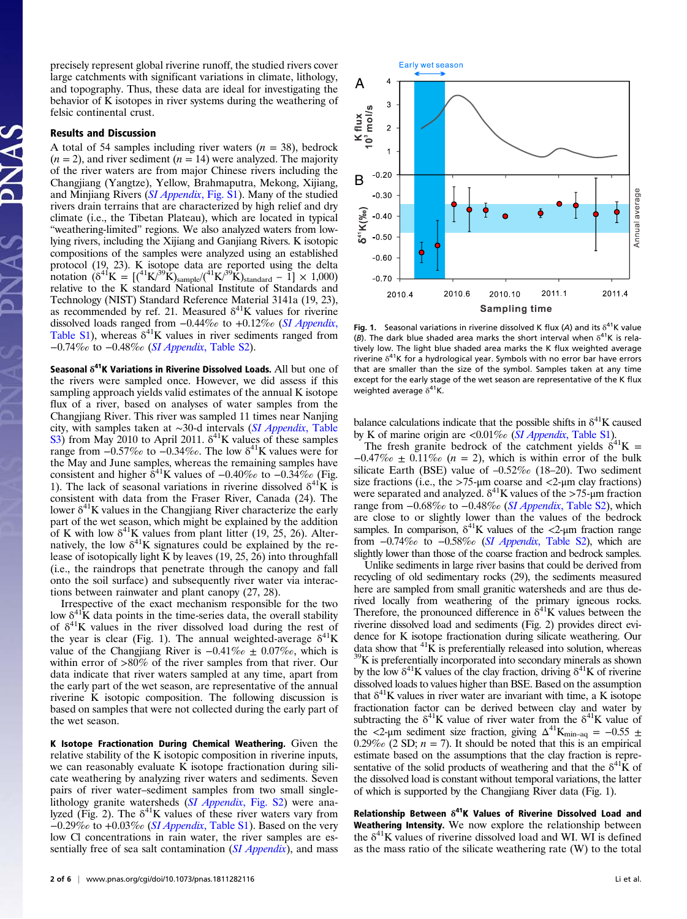precisely represent global riverine runoff, the studied rivers cover large catchments with significant variations in climate, lithology, and topography. Thus, these data are ideal for investigating the behavior of K isotopes in river systems during the weathering of felsic continental crust.

## Results and Discussion

A total of 54 samples including river waters  $(n = 38)$ , bedrock  $(n = 2)$ , and river sediment  $(n = 14)$  were analyzed. The majority of the river waters are from major Chinese rivers including the Changjiang (Yangtze), Yellow, Brahmaputra, Mekong, Xijiang, and Minjiang Rivers ([SI Appendix](https://www.pnas.org/lookup/suppl/doi:10.1073/pnas.1811282116/-/DCSupplemental), Fig. S1). Many of the studied rivers drain terrains that are characterized by high relief and dry climate (i.e., the Tibetan Plateau), which are located in typical "weathering-limited" regions. We also analyzed waters from lowlying rivers, including the Xijiang and Ganjiang Rivers. K isotopic compositions of the samples were analyzed using an established protocol (19, 23). K isotope data are reported using the delta notation ( $\delta^{41}K = [(41K)^{39}K)_{sample}/(41K)^{39}K)_{standard} - 1] \times 1,000$ ) relative to the K standard National Institute of Standards and Technology (NIST) Standard Reference Material 3141a (19, 23), as recommended by ref. 21. Measured  $\delta^{41}$ K values for riverine dissolved loads ranged from −0.44‰ to +0.12‰ ([SI Appendix](https://www.pnas.org/lookup/suppl/doi:10.1073/pnas.1811282116/-/DCSupplemental), [Table S1](https://www.pnas.org/lookup/suppl/doi:10.1073/pnas.1811282116/-/DCSupplemental)), whereas  $\delta^{41}K$  values in river sediments ranged from −0.74‰ to −0.48‰ (SI Appendix[, Table S2](https://www.pnas.org/lookup/suppl/doi:10.1073/pnas.1811282116/-/DCSupplemental)).

Seasonal  $\delta^{41}$ K Variations in Riverine Dissolved Loads. All but one of the rivers were sampled once. However, we did assess if this sampling approach yields valid estimates of the annual K isotope flux of a river, based on analyses of water samples from the Changjiang River. This river was sampled 11 times near Nanjing city, with samples taken at ∼30-d intervals ([SI Appendix](https://www.pnas.org/lookup/suppl/doi:10.1073/pnas.1811282116/-/DCSupplemental), Table [S3](https://www.pnas.org/lookup/suppl/doi:10.1073/pnas.1811282116/-/DCSupplemental)) from May 2010 to April 2011.  $\delta^{41}$ K values of these samples range from  $-0.57\%$  to  $-0.34\%$ . The low  $\delta^{41}$ K values were for the May and June samples, whereas the remaining samples have consistent and higher  $\delta^{41}$ K values of  $-0.40\%$  to  $-0.34\%$  (Fig. 1). The lack of seasonal variations in riverine dissolved  $\delta^{41}$ K is consistent with data from the Fraser River, Canada (24). The lower  $\delta^{41}$ K values in the Changjiang River characterize the early part of the wet season, which might be explained by the addition of K with low  $\delta^{41}$ K values from plant litter (19, 25, 26). Alternatively, the low  $\delta^{41}$ K signatures could be explained by the release of isotopically light K by leaves (19, 25, 26) into throughfall (i.e., the raindrops that penetrate through the canopy and fall onto the soil surface) and subsequently river water via interactions between rainwater and plant canopy (27, 28).

Irrespective of the exact mechanism responsible for the two low  $\delta^{41}$ K data points in the time-series data, the overall stability of  $\delta^{41}$ K values in the river dissolved load during the rest of the year is clear (Fig. 1). The annual weighted-average  $\delta^{41}$ K value of the Changjiang River is  $-0.41\%$  ≠ 0.07‰, which is within error of  $>80\%$  of the river samples from that river. Our data indicate that river waters sampled at any time, apart from the early part of the wet season, are representative of the annual riverine K isotopic composition. The following discussion is based on samples that were not collected during the early part of the wet season.

K Isotope Fractionation During Chemical Weathering. Given the relative stability of the K isotopic composition in riverine inputs, we can reasonably evaluate K isotope fractionation during silicate weathering by analyzing river waters and sediments. Seven pairs of river water–sediment samples from two small single-lithology granite watersheds (SI Appendix[, Fig. S2\)](https://www.pnas.org/lookup/suppl/doi:10.1073/pnas.1811282116/-/DCSupplemental) were analyzed (Fig. 2). The  $\delta^{41}$ K values of these river waters vary from  $-0.29\%$  to  $+0.03\%$  (SI Appendix[, Table S1](https://www.pnas.org/lookup/suppl/doi:10.1073/pnas.1811282116/-/DCSupplemental)). Based on the very low Cl concentrations in rain water, the river samples are es-sentially free of sea salt contamination ([SI Appendix](https://www.pnas.org/lookup/suppl/doi:10.1073/pnas.1811282116/-/DCSupplemental)), and mass



Fig. 1. Seasonal variations in riverine dissolved K flux (A) and its  $\delta^{41}$ K value (B). The dark blue shaded area marks the short interval when  $\delta^{41}$ K is relatively low. The light blue shaded area marks the K flux weighted average riverine  $\delta^{41}$ K for a hydrological year. Symbols with no error bar have errors that are smaller than the size of the symbol. Samples taken at any time except for the early stage of the wet season are representative of the K flux weighted average  $\delta^{41}$ K.

balance calculations indicate that the possible shifts in  $\delta^{41}$ K caused by K of marine origin are  $\langle 0.01\%$  (SI Appendix[, Table S1](https://www.pnas.org/lookup/suppl/doi:10.1073/pnas.1811282116/-/DCSupplemental)).

The fresh granite bedrock of the catchment yields  $6^{41}$ K =  $-0.47\%$  = 0.11‰ (n = 2), which is within error of the bulk silicate Earth (BSE) value of  $-0.52\%$  (18–20). Two sediment size fractions (i.e., the  $>75$ -µm coarse and  $<2$ -µm clay fractions) were separated and analyzed.  $\delta^{41}$ K values of the >75-µm fraction range from −0.68‰ to −0.48‰ (SI Appendix[, Table S2](https://www.pnas.org/lookup/suppl/doi:10.1073/pnas.1811282116/-/DCSupplemental)), which are close to or slightly lower than the values of the bedrock samples. In comparison,  $\delta^{41}K$  values of the  $\langle 2\text{-}\mu m \rangle$  fraction range from −0.74‰ to −0.58‰ (SI Appendix[, Table S2](https://www.pnas.org/lookup/suppl/doi:10.1073/pnas.1811282116/-/DCSupplemental)), which are slightly lower than those of the coarse fraction and bedrock samples.

Unlike sediments in large river basins that could be derived from recycling of old sedimentary rocks (29), the sediments measured here are sampled from small granitic watersheds and are thus derived locally from weathering of the primary igneous rocks.<br>Therefore, the pronounced difference in  $\delta^{41}$ K values between the riverine dissolved load and sediments (Fig. 2) provides direct evidence for K isotope fractionation during silicate weathering. Our data show that  ${}^{41}$ K is preferentially released into solution, whereas  $39K$  is preferentially incorporated into secondary minerals as shown by the low  $\delta^{41}$ K values of the clay fraction, driving  $\delta^{41}$ K of riverine dissolved loads to values higher than BSE. Based on the assumption that  $\delta^{41}$ K values in river water are invariant with time, a K isotope fractionation factor can be derived between clay and water by subtracting the  $\delta^{41}$ K value of river water from the  $\delta^{41}$ K value of the <2-μm sediment size fraction, giving  $\Delta^{41}$ K<sub>min-aq</sub> = -0.55 ± 0.29‰ (2 SD;  $n = 7$ ). It should be noted that this is an empirical estimate based on the assumptions that the clay fraction is representative of the solid products of weathering and that the  $\delta^{41}$ K of the dissolved load is constant without temporal variations, the latter of which is supported by the Changjiang River data (Fig. 1).

Relationship Between  $\delta^{41}$ K Values of Riverine Dissolved Load and Weathering Intensity. We now explore the relationship between the  $\delta^{41}$ K values of riverine dissolved load and WI. WI is defined as the mass ratio of the silicate weathering rate (W) to the total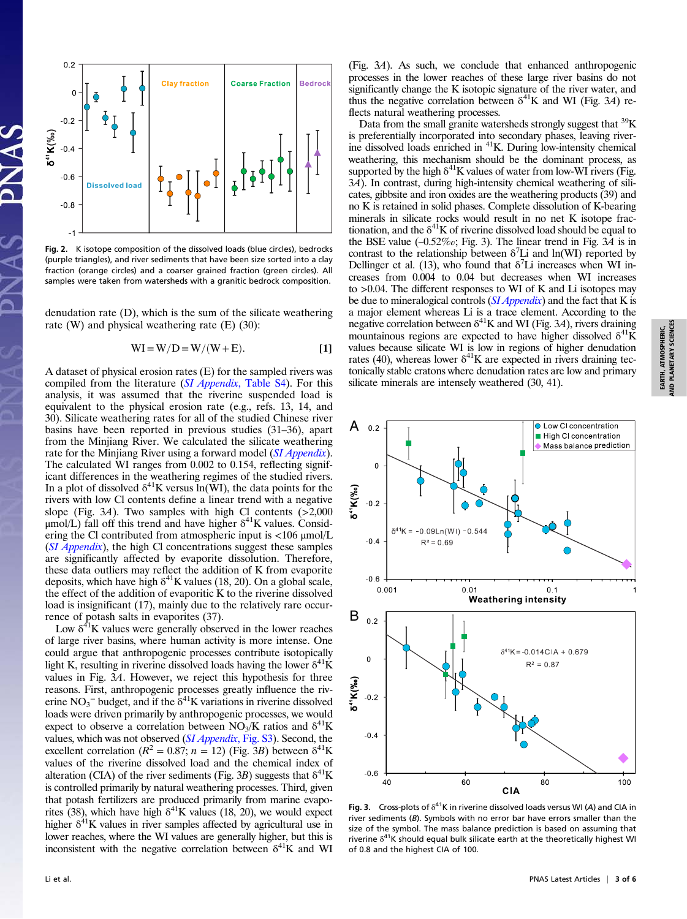

Fig. 2. K isotope composition of the dissolved loads (blue circles), bedrocks (purple triangles), and river sediments that have been size sorted into a clay fraction (orange circles) and a coarser grained fraction (green circles). All samples were taken from watersheds with a granitic bedrock composition.

denudation rate (D), which is the sum of the silicate weathering rate (W) and physical weathering rate (E) (30):

$$
WI = W/D = W/(W + E). \tag{1}
$$

A dataset of physical erosion rates (E) for the sampled rivers was compiled from the literature (SI Appendix[, Table S4](https://www.pnas.org/lookup/suppl/doi:10.1073/pnas.1811282116/-/DCSupplemental)). For this analysis, it was assumed that the riverine suspended load is equivalent to the physical erosion rate (e.g., refs. 13, 14, and 30). Silicate weathering rates for all of the studied Chinese river basins have been reported in previous studies (31–36), apart from the Minjiang River. We calculated the silicate weathering rate for the Minjiang River using a forward model ([SI Appendix](https://www.pnas.org/lookup/suppl/doi:10.1073/pnas.1811282116/-/DCSupplemental)). The calculated WI ranges from 0.002 to 0.154, reflecting significant differences in the weathering regimes of the studied rivers. In a plot of dissolved  $\delta^{41}$ K versus ln(WI), the data points for the rivers with low Cl contents define a linear trend with a negative slope (Fig. 3A). Two samples with high Cl contents  $(>2,000)$  $\mu$ mol/L) fall off this trend and have higher  $\delta^{41}$ K values. Considering the Cl contributed from atmospheric input is <106 μmol/L (*[SI Appendix](https://www.pnas.org/lookup/suppl/doi:10.1073/pnas.1811282116/-/DCSupplemental)*), the high Cl concentrations suggest these samples are significantly affected by evaporite dissolution. Therefore, these data outliers may reflect the addition of K from evaporite deposits, which have high  $\delta^{41}$ K values (18, 20). On a global scale, the effect of the addition of evaporitic K to the riverine dissolved load is insignificant (17), mainly due to the relatively rare occurrence of potash salts in evaporites (37).

Low  $\delta^{4}$ K values were generally observed in the lower reaches of large river basins, where human activity is more intense. One could argue that anthropogenic processes contribute isotopically light K, resulting in riverine dissolved loads having the lower  $\delta^{41}$ K values in Fig. 3A. However, we reject this hypothesis for three reasons. First, anthropogenic processes greatly influence the riverine NO<sub>3</sub><sup>-</sup> budget, and if the  $\delta^{41}$ K variations in riverine dissolved loads were driven primarily by anthropogenic processes, we would expect to observe a correlation between  $NO<sub>3</sub>/K$  ratios and  $\delta^{41}K$ values, which was not observed ([SI Appendix](https://www.pnas.org/lookup/suppl/doi:10.1073/pnas.1811282116/-/DCSupplemental), Fig. S3). Second, the excellent correlation ( $R^2 = 0.87$ ;  $n = 12$ ) (Fig. 3B) between  $\delta^{41}$ K values of the riverine dissolved load and the chemical index of alteration (CIA) of the river sediments (Fig. 3B) suggests that  $\delta^{41}$ K is controlled primarily by natural weathering processes. Third, given that potash fertilizers are produced primarily from marine evaporites (38), which have high  $\delta^{41}$ K values (18, 20), we would expect higher  $\delta^{41}$ K values in river samples affected by agricultural use in lower reaches, where the WI values are generally higher, but this is inconsistent with the negative correlation between  $\delta^{41}$ K and WI

(Fig. 3A). As such, we conclude that enhanced anthropogenic processes in the lower reaches of these large river basins do not significantly change the K isotopic signature of the river water, and thus the negative correlation between  $\delta^{41}$ K and WI (Fig. 3A) reflects natural weathering processes.

Data from the small granite watersheds strongly suggest that <sup>39</sup>K is preferentially incorporated into secondary phases, leaving riverine dissolved loads enriched in 41K. During low-intensity chemical weathering, this mechanism should be the dominant process, as supported by the high  $\delta^{41}$ K values of water from low-WI rivers (Fig. 3A). In contrast, during high-intensity chemical weathering of silicates, gibbsite and iron oxides are the weathering products (39) and no K is retained in solid phases. Complete dissolution of K-bearing minerals in silicate rocks would result in no net K isotope fractionation, and the  $\delta^{41}$ K of riverine dissolved load should be equal to the BSE value  $(-0.52\%<sub>o</sub>)$ ; Fig. 3). The linear trend in Fig.  $3\overline{A}$  is in contrast to the relationship between  $\delta^7$ Li and ln(WI) reported by Dellinger et al. (13), who found that  $\delta^7$ Li increases when WI increases from 0.004 to 0.04 but decreases when WI increases to >0.04. The different responses to WI of K and Li isotopes may be due to mineralogical controls  $(SI$  *Appendix*) and the fact that K is a major element whereas Li is a trace element. According to the negative correlation between  $\delta^{41}$ K and WI (Fig. 3A), rivers draining mountainous regions are expected to have higher dissolved  $\delta^{41}$ K values because silicate WI is low in regions of higher denudation rates (40), whereas lower  $\delta^{41}$ K are expected in rivers draining tectonically stable cratons where denudation rates are low and primary silicate minerals are intensely weathered (30, 41).



Fig. 3. Cross-plots of  $\delta^{41}$ K in riverine dissolved loads versus WI (A) and CIA in river sediments (B). Symbols with no error bar have errors smaller than the size of the symbol. The mass balance prediction is based on assuming that riverine  $\delta^{41}$ K should equal bulk silicate earth at the theoretically highest WI of 0.8 and the highest CIA of 100.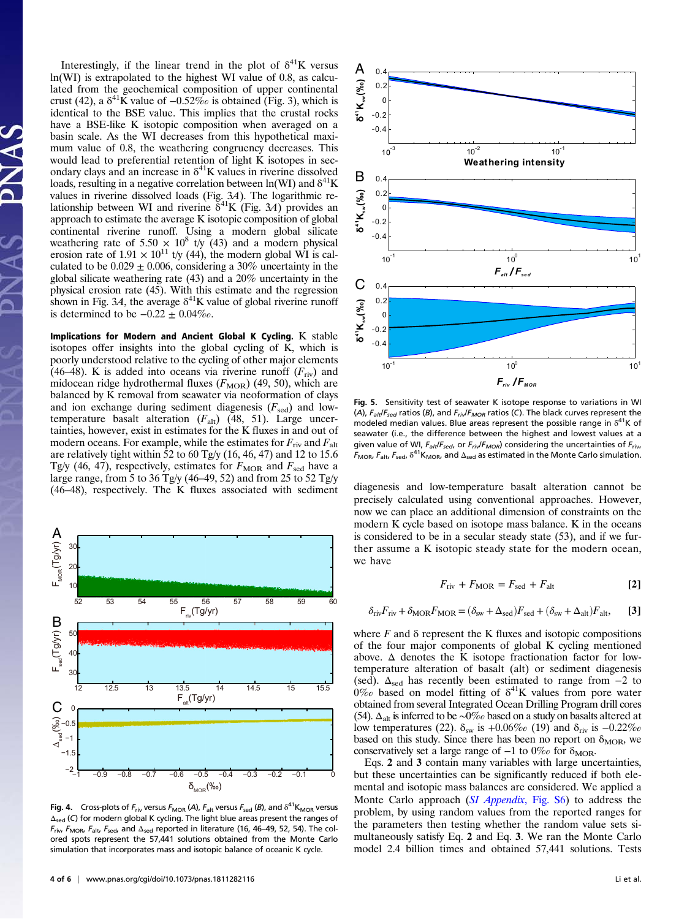Interestingly, if the linear trend in the plot of  $\delta^{41}$ K versus ln(WI) is extrapolated to the highest WI value of 0.8, as calculated from the geochemical composition of upper continental crust (42), a  $\delta^{41}$ K value of  $-0.52\%$  is obtained (Fig. 3), which is identical to the BSE value. This implies that the crustal rocks have a BSE-like K isotopic composition when averaged on a basin scale. As the WI decreases from this hypothetical maximum value of 0.8, the weathering congruency decreases. This would lead to preferential retention of light K isotopes in secondary clays and an increase in  $\delta^{41}$ K values in riverine dissolved loads, resulting in a negative correlation between  $ln(WI)$  and  $\delta^{41}K$ values in riverine dissolved loads (Fig. 3A). The logarithmic relationship between WI and riverine  $\delta^{41}$ K (Fig. 3A) provides an approach to estimate the average K isotopic composition of global continental riverine runoff. Using a modern global silicate weathering rate of 5.50  $\times$  10<sup>8</sup> t/y (43) and a modern physical erosion rate of 1.91  $\times$  10<sup>11</sup> t/y (44), the modern global WI is calculated to be  $0.029 \pm 0.006$ , considering a 30% uncertainty in the global silicate weathering rate (43) and a 20% uncertainty in the physical erosion rate (45). With this estimate and the regression shown in Fig. 3A, the average  $\delta^{41}$ K value of global riverine runoff is determined to be  $-0.22 \pm 0.04\%$ .

Implications for Modern and Ancient Global K Cycling. K stable isotopes offer insights into the global cycling of K, which is poorly understood relative to the cycling of other major elements (46–48). K is added into oceans via riverine runoff  $(F_{\text{riv}})$  and midocean ridge hydrothermal fluxes  $(F<sub>MOR</sub>)$  (49, 50), which are balanced by K removal from seawater via neoformation of clays and ion exchange during sediment diagenesis  $(F_{\text{sed}})$  and lowtemperature basalt alteration  $(F_{alt})$  (48, 51). Large uncertainties, however, exist in estimates for the K fluxes in and out of modern oceans. For example, while the estimates for  $F_{\text{riv}}$  and  $F_{\text{alt}}$ are relatively tight within 52 to 60 Tg/y (16, 46, 47) and 12 to 15.6 Tg/y (46, 47), respectively, estimates for  $F_{\text{MOR}}$  and  $F_{\text{sed}}$  have a large range, from 5 to 36 Tg/y (46–49, 52) and from 25 to 52 Tg/y



**Fig. 4.** Cross-plots of  $F_{\text{riv}}$  versus  $F_{\text{MOR}}$  (A),  $F_{\text{alt}}$  versus  $F_{\text{sed}}$  (B), and  $\delta^{41}K_{\text{MOR}}$  versus Δsed (C) for modern global K cycling. The light blue areas present the ranges of  $F_{\text{riv}}$ ,  $F_{\text{MOR}}$ ,  $F_{\text{alt}}$ ,  $F_{\text{sed}}$ , and  $\Delta_{\text{sed}}$  reported in literature (16, 46–49, 52, 54). The colored spots represent the 57,441 solutions obtained from the Monte Carlo simulation that incorporates mass and isotopic balance of oceanic K cycle.



Fig. 5. Sensitivity test of seawater K isotope response to variations in WI (A),  $F_{alt}/F_{sed}$  ratios (B), and  $F_{ri}/F_{MOR}$  ratios (C). The black curves represent the modeled median values. Blue areas represent the possible range in  $\delta^{41}$ K of seawater (i.e., the difference between the highest and lowest values at a given value of WI,  $F_{alt}/F_{sed}$ , or  $F_{ri}\sqrt{F_{MOR}}$ ) considering the uncertainties of  $F_{riv}$ ,  $F_{\text{MOR}}$ ,  $F_{\text{alt}}$ ,  $F_{\text{sed}}$ ,  $\delta^{41}K_{\text{MOR}}$ , and  $\Delta_{\text{sed}}$  as estimated in the Monte Carlo simulation.

(46–48), respectively. The K fluxes associated with sediment diagenesis and low-temperature basalt alteration cannot be precisely calculated using conventional approaches. However, now we can place an additional dimension of constraints on the modern K cycle based on isotope mass balance. K in the oceans is considered to be in a secular steady state (53), and if we further assume a K isotopic steady state for the modern ocean, we have

$$
F_{\rm riv} + F_{\rm MOR} = F_{\rm sed} + F_{\rm alt}
$$
 [2]

$$
\delta_{\rm{riv}}F_{\rm{riv}} + \delta_{\rm{MOR}}F_{\rm{MOR}} = (\delta_{\rm{sw}} + \Delta_{\rm{sed}})F_{\rm{sed}} + (\delta_{\rm{sw}} + \Delta_{\rm{alt}})F_{\rm{alt}},\quad \textbf{[3]}
$$

where  $F$  and  $\delta$  represent the K fluxes and isotopic compositions of the four major components of global K cycling mentioned above.  $\Delta$  denotes the K isotope fractionation factor for lowtemperature alteration of basalt (alt) or sediment diagenesis (sed).  $\Delta_{\text{sed}}$  has recently been estimated to range from  $-2$  to  $0\%$  based on model fitting of  $\delta^{41}$ K values from pore water obtained from several Integrated Ocean Drilling Program drill cores (54).  $\Delta_{\text{alt}}$  is inferred to be ∼0‰ based on a study on basalts altered at low temperatures (22).  $\delta_{sw}$  is +0.06‰ (19) and  $\delta_{riv}$  is  $-0.22\%$ based on this study. Since there has been no report on  $\delta_{\text{MOR}}$ , we conservatively set a large range of  $-1$  to 0‰ for  $\delta_{\text{MOR}}$ .

Eqs. 2 and 3 contain many variables with large uncertainties, but these uncertainties can be significantly reduced if both elemental and isotopic mass balances are considered. We applied a Monte Carlo approach (SI Appendix[, Fig. S6\)](https://www.pnas.org/lookup/suppl/doi:10.1073/pnas.1811282116/-/DCSupplemental) to address the problem, by using random values from the reported ranges for the parameters then testing whether the random value sets simultaneously satisfy Eq. 2 and Eq. 3. We ran the Monte Carlo model 2.4 billion times and obtained 57,441 solutions. Tests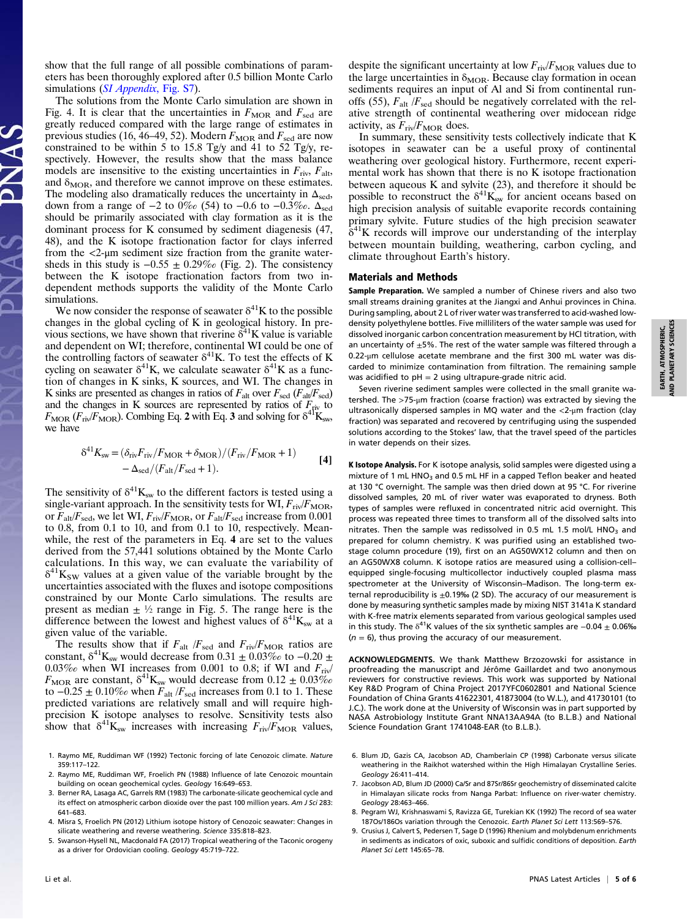show that the full range of all possible combinations of parameters has been thoroughly explored after 0.5 billion Monte Carlo simulations ([SI Appendix](https://www.pnas.org/lookup/suppl/doi:10.1073/pnas.1811282116/-/DCSupplemental), Fig. S7).

The solutions from the Monte Carlo simulation are shown in Fig. 4. It is clear that the uncertainties in  $F_{\text{MOR}}$  and  $F_{\text{sed}}$  are greatly reduced compared with the large range of estimates in previous studies (16, 46–49, 52). Modern  $F_{\text{MOR}}$  and  $F_{\text{sed}}$  are now constrained to be within 5 to 15.8 Tg/y and 41 to 52 Tg/y, respectively. However, the results show that the mass balance models are insensitive to the existing uncertainties in  $F_{\text{riv}}$ ,  $F_{\text{alt}}$ , and  $\delta_{\text{MOR}}$ , and therefore we cannot improve on these estimates. The modeling also dramatically reduces the uncertainty in  $\Delta_{\text{sed}}$ , down from a range of  $-2$  to 0‰ (54) to  $-0.6$  to  $-0.3$ ‰.  $\Delta_{\text{sed}}$ should be primarily associated with clay formation as it is the dominant process for K consumed by sediment diagenesis (47, 48), and the K isotope fractionation factor for clays inferred from the <2-μm sediment size fraction from the granite watersheds in this study is  $-0.55 \pm 0.29\%$  (Fig. 2). The consistency between the K isotope fractionation factors from two independent methods supports the validity of the Monte Carlo simulations.

We now consider the response of seawater  $\delta^{41}$ K to the possible changes in the global cycling of K in geological history. In previous sections, we have shown that riverine  $\delta^{41}$ K value is variable and dependent on WI; therefore, continental WI could be one of the controlling factors of seawater  $\delta^{41}$ K. To test the effects of K cycling on seawater  $\delta^{41}K$ , we calculate seawater  $\delta^{41}K$  as a function of changes in K sinks, K sources, and WI. The changes in K sinks are presented as changes in ratios of  $F_{\text{alt}}$  over  $F_{\text{sed}}$  ( $F_{\text{alt}}/F_{\text{sed}}$ ) and the changes in K sources are represented by ratios of  $F_{\text{triv}}$  to  $F_{\text{MOR}}$  ( $F_{\text{riv}}/F_{\text{MOR}}$ ). Combing Eq. 2 with Eq. 3 and solving for  $\delta^{41}K_{\text{sw}}$ , we have

$$
\delta^{41} K_{\text{sw}} = (\delta_{\text{riv}} F_{\text{riv}} / F_{\text{MOR}} + \delta_{\text{MOR}}) / (F_{\text{riv}} / F_{\text{MOR}} + 1) - \Delta_{\text{sed}} / (F_{\text{alt}} / F_{\text{sed}} + 1).
$$
 [4]

The sensitivity of  $\delta^{41}K_{sw}$  to the different factors is tested using a single-variant approach. In the sensitivity tests for WI,  $F_{\text{riv}}/F_{\text{MOR}}$ , or  $F_{\text{alt}}/F_{\text{sed}}$ , we let WI,  $F_{\text{riv}}/F_{\text{MOR}}$ , or  $F_{\text{alt}}/F_{\text{sed}}$  increase from 0.001 to 0.8, from 0.1 to 10, and from 0.1 to 10, respectively. Meanwhile, the rest of the parameters in Eq. 4 are set to the values derived from the 57,441 solutions obtained by the Monte Carlo calculations. In this way, we can evaluate the variability of  $\delta^{41}$ K<sub>SW</sub> values at a given value of the variable brought by the uncertainties associated with the fluxes and isotope compositions constrained by our Monte Carlo simulations. The results are present as median  $\pm \frac{1}{2}$  range in Fig. 5. The range here is the difference between the lowest and highest values of  $\delta^{41}K_{sw}$  at a given value of the variable.

The results show that if  $F_{\text{alt}}/F_{\text{sed}}$  and  $F_{\text{riv}}/F_{\text{MOR}}$  ratios are constant,  $\delta^{41}K_{sw}$  would decrease from 0.31  $\pm$  0.03‰ to -0.20  $\pm$ 0.03‰ when WI increases from 0.001 to 0.8; if WI and  $F_{\text{riv}}/$  $F_{\text{MOR}}$  are constant,  $\delta^{41}K_{\text{sw}}$  would decrease from  $0.12 \pm 0.03\%$ to  $-0.25 \pm 0.10\%$  when  $F_{\text{alt}}/F_{\text{sed}}$  increases from 0.1 to 1. These predicted variations are relatively small and will require highprecision K isotope analyses to resolve. Sensitivity tests also show that  $\delta^{41}K_{sw}$  increases with increasing  $F_{\text{riv}}/F_{\text{MOR}}$  values,

4. Misra S, Froelich PN (2012) Lithium isotope history of Cenozoic seawater: Changes in silicate weathering and reverse weathering. Science 335:818–823.

despite the significant uncertainty at low  $F_{\text{riv}}/F_{\text{MOR}}$  values due to the large uncertainties in  $\delta_{\text{MOR}}$ . Because clay formation in ocean sediments requires an input of Al and Si from continental runoffs (55),  $F_{\text{alt}}/F_{\text{sed}}$  should be negatively correlated with the relative strength of continental weathering over midocean ridge activity, as  $F_{\text{riv}}/F_{\text{MOR}}$  does.

In summary, these sensitivity tests collectively indicate that K isotopes in seawater can be a useful proxy of continental weathering over geological history. Furthermore, recent experimental work has shown that there is no K isotope fractionation between aqueous K and sylvite (23), and therefore it should be possible to reconstruct the  $\delta^{41}K_{sw}$  for ancient oceans based on high precision analysis of suitable evaporite records containing primary sylvite. Future studies of the high precision seawater  $\delta^{41}$ K records will improve our understanding of the interplay between mountain building, weathering, carbon cycling, and climate throughout Earth's history.

## Materials and Methods

Sample Preparation. We sampled a number of Chinese rivers and also two small streams draining granites at the Jiangxi and Anhui provinces in China. During sampling, about 2 L of river water was transferred to acid-washed lowdensity polyethylene bottles. Five milliliters of the water sample was used for dissolved inorganic carbon concentration measurement by HCl titration, with an uncertainty of  $\pm$ 5%. The rest of the water sample was filtered through a 0.22-μm cellulose acetate membrane and the first 300 mL water was discarded to minimize contamination from filtration. The remaining sample was acidified to  $pH = 2$  using ultrapure-grade nitric acid.

Seven riverine sediment samples were collected in the small granite watershed. The >75-μm fraction (coarse fraction) was extracted by sieving the ultrasonically dispersed samples in MQ water and the <2-μm fraction (clay fraction) was separated and recovered by centrifuging using the suspended solutions according to the Stokes' law, that the travel speed of the particles in water depends on their sizes.

K Isotope Analysis. For K isotope analysis, solid samples were digested using a mixture of 1 mL HNO<sub>3</sub> and 0.5 mL HF in a capped Teflon beaker and heated at 130 °C overnight. The sample was then dried down at 95 °C. For riverine dissolved samples, 20 mL of river water was evaporated to dryness. Both types of samples were refluxed in concentrated nitric acid overnight. This process was repeated three times to transform all of the dissolved salts into nitrates. Then the sample was redissolved in 0.5 mL 1.5 mol/L  $HNO<sub>3</sub>$  and prepared for column chemistry. K was purified using an established twostage column procedure (19), first on an AG50WX12 column and then on an AG50WX8 column. K isotope ratios are measured using a collision-cell– equipped single-focusing multicollector inductively coupled plasma mass spectrometer at the University of Wisconsin–Madison. The long-term external reproducibility is  $\pm$ 0.19‰ (2 SD). The accuracy of our measurement is done by measuring synthetic samples made by mixing NIST 3141a K standard with K-free matrix elements separated from various geological samples used in this study. The  $\delta^{41}$ K values of the six synthetic samples are  $-0.04 \pm 0.06\%$  $(n = 6)$ , thus proving the accuracy of our measurement.

ACKNOWLEDGMENTS. We thank Matthew Brzozowski for assistance in proofreading the manuscript and Jérôme Gaillardet and two anonymous reviewers for constructive reviews. This work was supported by National Key R&D Program of China Project 2017YFC0602801 and National Science Foundation of China Grants 41622301, 41873004 (to W.L.), and 41730101 (to J.C.). The work done at the University of Wisconsin was in part supported by NASA Astrobiology Institute Grant NNA13AA94A (to B.L.B.) and National Science Foundation Grant 1741048-EAR (to B.L.B.).

- 6. Blum JD, Gazis CA, Jacobson AD, Chamberlain CP (1998) Carbonate versus silicate weathering in the Raikhot watershed within the High Himalayan Crystalline Series. Geology 26:411–414.
- 7. Jacobson AD, Blum JD (2000) Ca/Sr and 87Sr/86Sr geochemistry of disseminated calcite in Himalayan silicate rocks from Nanga Parbat: Influence on river-water chemistry. Geology 28:463–466.
- 8. Pegram WJ, Krishnaswami S, Ravizza GE, Turekian KK (1992) The record of sea water 187Os/186Os variation through the Cenozoic. Earth Planet Sci Lett 113:569–576.
- 9. Crusius J, Calvert S, Pedersen T, Sage D (1996) Rhenium and molybdenum enrichments in sediments as indicators of oxic, suboxic and sulfidic conditions of deposition. Earth Planet Sci Lett 145:65–78.

<sup>1.</sup> Raymo ME, Ruddiman WF (1992) Tectonic forcing of late Cenozoic climate. Nature 359:117–122.

<sup>2.</sup> Raymo ME, Ruddiman WF, Froelich PN (1988) Influence of late Cenozoic mountain building on ocean geochemical cycles. Geology 16:649–653.

<sup>3.</sup> Berner RA, Lasaga AC, Garrels RM (1983) The carbonate-silicate geochemical cycle and its effect on atmospheric carbon dioxide over the past 100 million years. Am J Sci 283: 641–683.

<sup>5.</sup> Swanson-Hysell NL, Macdonald FA (2017) Tropical weathering of the Taconic orogeny as a driver for Ordovician cooling. Geology 45:719–722.